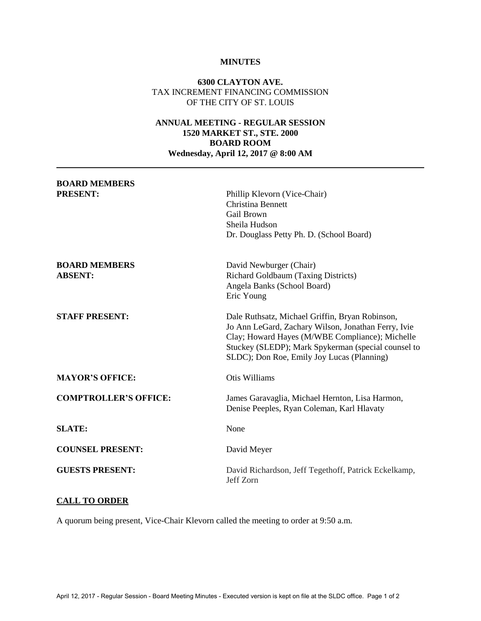#### **MINUTES**

### **6300 CLAYTON AVE.**  TAX INCREMENT FINANCING COMMISSION OF THE CITY OF ST. LOUIS

## **ANNUAL MEETING - REGULAR SESSION 1520 MARKET ST., STE. 2000 BOARD ROOM Wednesday, April 12, 2017 @ 8:00 AM**

| <b>BOARD MEMBERS</b><br><b>PRESENT:</b> | Phillip Klevorn (Vice-Chair)<br>Christina Bennett<br>Gail Brown<br>Sheila Hudson<br>Dr. Douglass Petty Ph. D. (School Board)                                                                                                                                   |
|-----------------------------------------|----------------------------------------------------------------------------------------------------------------------------------------------------------------------------------------------------------------------------------------------------------------|
| <b>BOARD MEMBERS</b><br><b>ABSENT:</b>  | David Newburger (Chair)<br>Richard Goldbaum (Taxing Districts)<br>Angela Banks (School Board)<br>Eric Young                                                                                                                                                    |
| <b>STAFF PRESENT:</b>                   | Dale Ruthsatz, Michael Griffin, Bryan Robinson,<br>Jo Ann LeGard, Zachary Wilson, Jonathan Ferry, Ivie<br>Clay; Howard Hayes (M/WBE Compliance); Michelle<br>Stuckey (SLEDP); Mark Spykerman (special counsel to<br>SLDC); Don Roe, Emily Joy Lucas (Planning) |
| <b>MAYOR'S OFFICE:</b>                  | Otis Williams                                                                                                                                                                                                                                                  |
| <b>COMPTROLLER'S OFFICE:</b>            | James Garavaglia, Michael Hernton, Lisa Harmon,<br>Denise Peeples, Ryan Coleman, Karl Hlavaty                                                                                                                                                                  |
| <b>SLATE:</b>                           | None                                                                                                                                                                                                                                                           |
| <b>COUNSEL PRESENT:</b>                 | David Meyer                                                                                                                                                                                                                                                    |
| <b>GUESTS PRESENT:</b>                  | David Richardson, Jeff Tegethoff, Patrick Eckelkamp,<br>Jeff Zorn                                                                                                                                                                                              |

# **CALL TO ORDER**

A quorum being present, Vice-Chair Klevorn called the meeting to order at 9:50 a.m.